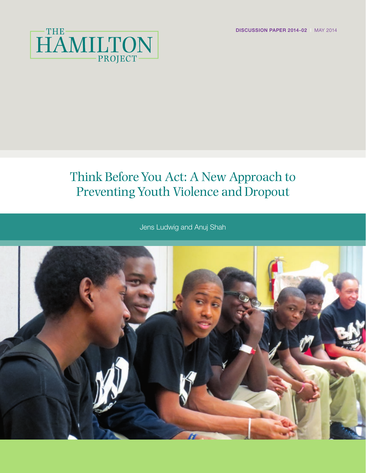DISCUSSION PAPER 2014-02 | MAY 2014



# Think Before You Act: A New Approach to Preventing Youth Violence and Dropout

Jens Ludwig and Anuj Shah

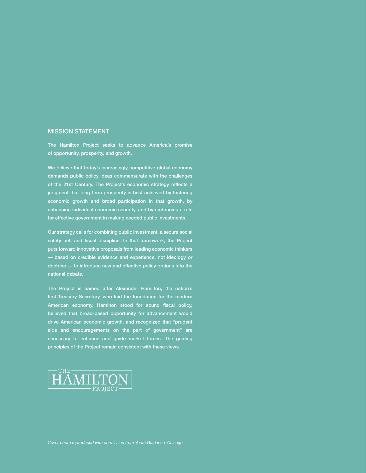#### MISSION STATEMENT

The Hamilton Project seeks to advance America's promise of opportunity, prosperity, and growth.

We believe that today's increasingly competitive global economy demands public policy ideas commensurate with the challenges of the 21st Century. The Project's economic strategy reflects a judgment that long-term prosperity is best achieved by fostering economic growth and broad participation in that growth, by enhancing individual economic security, and by embracing a role for effective government in making needed public investments.

Our strategy calls for combining public investment, a secure social safety net, and fiscal discipline. In that framework, the Project puts forward innovative proposals from leading economic thinkers — based on credible evidence and experience, not ideology or doctrine — to introduce new and effective policy options into the national debate.

The Project is named after Alexander Hamilton, the nation's first Treasury Secretary, who laid the foundation for the modern American economy. Hamilton stood for sound fiscal policy, believed that broad-based opportunity for advancement would drive American economic growth, and recognized that "prudent aids and encouragements on the part of government" are necessary to enhance and guide market forces. The guiding principles of the Project remain consistent with these views.

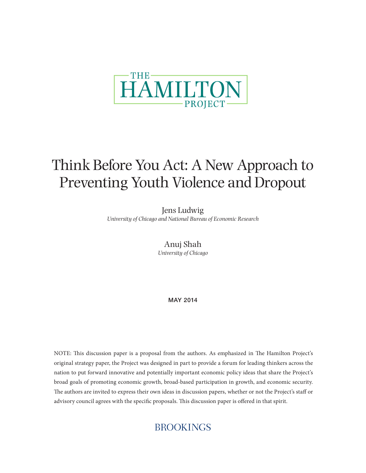

# Think Before You Act: A New Approach to Preventing Youth Violence and Dropout

Jens Ludwig *University of Chicago and National Bureau of Economic Research*

> Anuj Shah *University of Chicago*

> > MAY 2014

NOTE: This discussion paper is a proposal from the authors. As emphasized in The Hamilton Project's original strategy paper, the Project was designed in part to provide a forum for leading thinkers across the nation to put forward innovative and potentially important economic policy ideas that share the Project's broad goals of promoting economic growth, broad-based participation in growth, and economic security. The authors are invited to express their own ideas in discussion papers, whether or not the Project's staff or advisory council agrees with the specific proposals. This discussion paper is offered in that spirit.

## **BROOKINGS**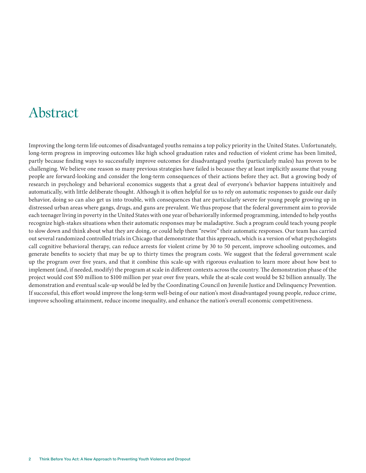## Abstract

Improving the long-term life outcomes of disadvantaged youths remains a top policy priority in the United States. Unfortunately, long-term progress in improving outcomes like high school graduation rates and reduction of violent crime has been limited, partly because finding ways to successfully improve outcomes for disadvantaged youths (particularly males) has proven to be challenging. We believe one reason so many previous strategies have failed is because they at least implicitly assume that young people are forward-looking and consider the long-term consequences of their actions before they act. But a growing body of research in psychology and behavioral economics suggests that a great deal of everyone's behavior happens intuitively and automatically, with little deliberate thought. Although it is often helpful for us to rely on automatic responses to guide our daily behavior, doing so can also get us into trouble, with consequences that are particularly severe for young people growing up in distressed urban areas where gangs, drugs, and guns are prevalent. We thus propose that the federal government aim to provide each teenager living in poverty in the United States with one year of behaviorally informed programming, intended to help youths recognize high-stakes situations when their automatic responses may be maladaptive. Such a program could teach young people to slow down and think about what they are doing, or could help them "rewire" their automatic responses. Our team has carried out several randomized controlled trials in Chicago that demonstrate that this approach, which is a version of what psychologists call cognitive behavioral therapy, can reduce arrests for violent crime by 30 to 50 percent, improve schooling outcomes, and generate benefits to society that may be up to thirty times the program costs. We suggest that the federal government scale up the program over five years, and that it combine this scale-up with rigorous evaluation to learn more about how best to implement (and, if needed, modify) the program at scale in different contexts across the country. The demonstration phase of the project would cost \$50 million to \$100 million per year over five years, while the at-scale cost would be \$2 billion annually. The demonstration and eventual scale-up would be led by the Coordinating Council on Juvenile Justice and Delinquency Prevention. If successful, this effort would improve the long-term well-being of our nation's most disadvantaged young people, reduce crime, improve schooling attainment, reduce income inequality, and enhance the nation's overall economic competitiveness.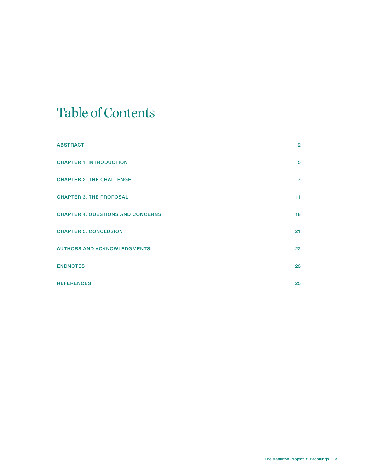# Table of Contents

| <b>ABSTRACT</b>                          | $\overline{2}$  |
|------------------------------------------|-----------------|
| <b>CHAPTER 1. INTRODUCTION</b>           | 5               |
| <b>CHAPTER 2. THE CHALLENGE</b>          | $\overline{7}$  |
| <b>CHAPTER 3. THE PROPOSAL</b>           | 11              |
| <b>CHAPTER 4. QUESTIONS AND CONCERNS</b> | 18              |
| <b>CHAPTER 5. CONCLUSION</b>             | 21              |
| <b>AUTHORS AND ACKNOWLEDGMENTS</b>       | 22 <sub>2</sub> |
| <b>ENDNOTES</b>                          | 23              |
| <b>REFERENCES</b>                        | 25              |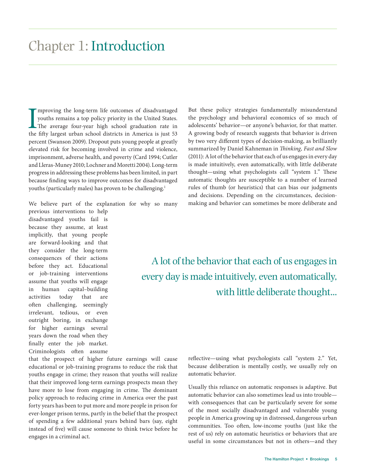Improving the long-term life outcomes of disadvantaged<br>youths remains a top policy priority in the United States.<br>The average four-year high school graduation rate in<br>the fifty largest urban school districts in America is mproving the long-term life outcomes of disadvantaged youths remains a top policy priority in the United States. The average four-year high school graduation rate in percent (Swanson 2009). Dropout puts young people at greatly elevated risk for becoming involved in crime and violence, imprisonment, adverse health, and poverty (Card 1994; Cutler and Lleras-Muney 2010; Lochner and Moretti 2004). Long-term progress in addressing these problems has been limited, in part because finding ways to improve outcomes for disadvantaged youths (particularly males) has proven to be challenging.<sup>1</sup>

We believe part of the explanation for why so many

previous interventions to help disadvantaged youths fail is because they assume, at least implicitly, that young people are forward-looking and that they consider the long-term consequences of their actions before they act. Educational or job-training interventions assume that youths will engage in human capital–building activities today that are often challenging, seemingly irrelevant, tedious, or even outright boring, in exchange for higher earnings several years down the road when they finally enter the job market. Criminologists often assume

that the prospect of higher future earnings will cause educational or job-training programs to reduce the risk that youths engage in crime; they reason that youths will realize that their improved long-term earnings prospects mean they have more to lose from engaging in crime. The dominant policy approach to reducing crime in America over the past forty years has been to put more and more people in prison for ever-longer prison terms, partly in the belief that the prospect of spending a few additional years behind bars (say, eight instead of five) will cause someone to think twice before he engages in a criminal act.

But these policy strategies fundamentally misunderstand the psychology and behavioral economics of so much of adolescents' behavior—or anyone's behavior, for that matter. A growing body of research suggests that behavior is driven by two very different types of decision-making, as brilliantly summarized by Daniel Kahneman in *Thinking, Fast and Slow* (2011): A lot of the behavior that each of us engages in every day is made intuitively, even automatically, with little deliberate thought—using what psychologists call "system 1." These automatic thoughts are susceptible to a number of learned rules of thumb (or heuristics) that can bias our judgments and decisions. Depending on the circumstances, decisionmaking and behavior can sometimes be more deliberate and

A lot of the behavior that each of us engages in every day is made intuitively, even automatically, with little deliberate thought...

> reflective—using what psychologists call "system 2." Yet, because deliberation is mentally costly, we usually rely on automatic behavior.

> Usually this reliance on automatic responses is adaptive. But automatic behavior can also sometimes lead us into trouble with consequences that can be particularly severe for some of the most socially disadvantaged and vulnerable young people in America growing up in distressed, dangerous urban communities. Too often, low-income youths (just like the rest of us) rely on automatic heuristics or behaviors that are useful in some circumstances but not in others—and they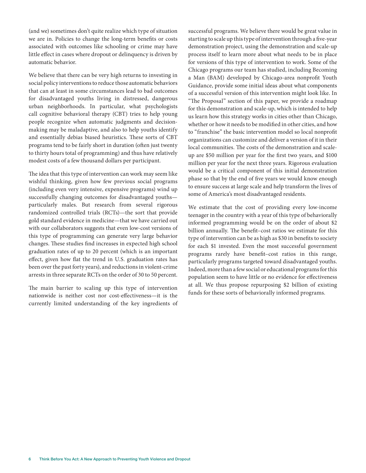(and we) sometimes don't quite realize which type of situation we are in. Policies to change the long-term benefits or costs associated with outcomes like schooling or crime may have little effect in cases where dropout or delinquency is driven by automatic behavior.

We believe that there can be very high returns to investing in social policy interventions to reduce those automatic behaviors that can at least in some circumstances lead to bad outcomes for disadvantaged youths living in distressed, dangerous urban neighborhoods. In particular, what psychologists call cognitive behavioral therapy (CBT) tries to help young people recognize when automatic judgments and decisionmaking may be maladaptive, and also to help youths identify and essentially debias biased heuristics. These sorts of CBT programs tend to be fairly short in duration (often just twenty to thirty hours total of programming) and thus have relatively modest costs of a few thousand dollars per participant.

The idea that this type of intervention can work may seem like wishful thinking, given how few previous social programs (including even very intensive, expensive programs) wind up successfully changing outcomes for disadvantaged youths particularly males. But research from several rigorous randomized controlled trials (RCTs)—the sort that provide gold standard evidence in medicine—that we have carried out with our collaborators suggests that even low-cost versions of this type of programming can generate very large behavior changes. These studies find increases in expected high school graduation rates of up to 20 percent (which is an important effect, given how flat the trend in U.S. graduation rates has been over the past forty years), and reductions in violent-crime arrests in three separate RCTs on the order of 30 to 50 percent.

The main barrier to scaling up this type of intervention nationwide is neither cost nor cost-effectiveness—it is the currently limited understanding of the key ingredients of successful programs. We believe there would be great value in starting to scale up this type of intervention through a five-year demonstration project, using the demonstration and scale-up process itself to learn more about what needs to be in place for versions of this type of intervention to work. Some of the Chicago programs our team has studied, including Becoming a Man (BAM) developed by Chicago-area nonprofit Youth Guidance, provide some initial ideas about what components of a successful version of this intervention might look like. In "The Proposal" section of this paper, we provide a roadmap for this demonstration and scale-up, which is intended to help us learn how this strategy works in cities other than Chicago, whether or how it needs to be modified in other cities, and how to "franchise" the basic intervention model so local nonprofit organizations can customize and deliver a version of it in their local communities. The costs of the demonstration and scaleup are \$50 million per year for the first two years, and \$100 million per year for the next three years. Rigorous evaluation would be a critical component of this initial demonstration phase so that by the end of five years we would know enough to ensure success at large scale and help transform the lives of some of America's most disadvantaged residents.

We estimate that the cost of providing every low-income teenager in the country with a year of this type of behaviorally informed programming would be on the order of about \$2 billion annually. The benefit–cost ratios we estimate for this type of intervention can be as high as \$30 in benefits to society for each \$1 invested. Even the most successful government programs rarely have benefit–cost ratios in this range, particularly programs targeted toward disadvantaged youths. Indeed, more than a few social or educational programs for this population seem to have little or no evidence for effectiveness at all. We thus propose repurposing \$2 billion of existing funds for these sorts of behaviorally informed programs.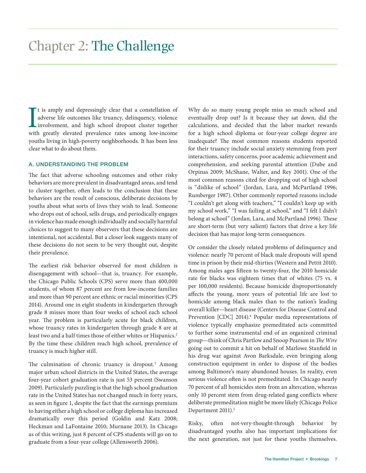It is amply and depressingly clear that a constellation of adverse life outcomes like truancy, delinquency, violence involvement, and high school dropout cluster together with greatly elevated prevalence rates among low-in t is amply and depressingly clear that a constellation of adverse life outcomes like truancy, delinquency, violence **L**involvement, and high school dropout cluster together youths living in high-poverty neighborhoods. It has been less clear what to do about them.

### A. UNDERSTANDING THE PROBLEM

The fact that adverse schooling outcomes and other risky behaviors are more prevalent in disadvantaged areas, and tend to cluster together, often leads to the conclusion that these behaviors are the result of conscious, deliberate decisions by youths about what sorts of lives they wish to lead. Someone who drops out of school, sells drugs, and periodically engages in violence has made enough individually and socially harmful choices to suggest to many observers that these decisions are intentional, not accidental. But a closer look suggests many of these decisions do not seem to be very thought out, despite their prevalence.

The earliest risk behavior observed for most children is disengagement with school—that is, truancy. For example, the Chicago Public Schools (CPS) serve more than 400,000 students, of whom 87 percent are from low-income families and more than 90 percent are ethnic or racial minorities (CPS 2014). Around one in eight students in kindergarten through grade 8 misses more than four weeks of school each school year. The problem is particularly acute for black children, whose truancy rates in kindergarten through grade 8 are at least two and a half times those of either whites or Hispanics.<sup>2</sup> By the time these children reach high school, prevalence of truancy is much higher still.

The culmination of chronic truancy is dropout.<sup>3</sup> Among major urban school districts in the United States, the average four-year cohort graduation rate is just 53 percent (Swanson 2009). Particularly puzzling is that the high school graduation rate in the United States has not changed much in forty years, as seen in figure 1, despite the fact that the earnings premium to having either a high school or college diploma has increased dramatically over this period (Goldin and Katz 2008; Heckman and LaFontaine 2010; Murnane 2013). In Chicago as of this writing, just 8 percent of CPS students will go on to graduate from a four-year college (Allensworth 2006).

Why do so many young people miss so much school and eventually drop out? Is it because they sat down, did the calculations, and decided that the labor market rewards for a high school diploma or four-year college degree are inadequate? The most common reasons students reported for their truancy include social anxiety stemming from peer interactions, safety concerns, poor academic achievement and comprehension, and seeking parental attention (Dube and Orpinas 2009; McShane, Walter, and Rey 2001). One of the most common reasons cited for dropping out of high school is "dislike of school" (Jordan, Lara, and McPartland 1996; Rumberger 1987). Other commonly reported reasons include "I couldn't get along with teachers," "I couldn't keep up with my school work," "I was failing at school," and "I felt I didn't belong at school" (Jordan, Lara, and McPartland 1996). These are short-term (but very salient) factors that drive a key life decision that has major long-term consequences.

Or consider the closely related problems of delinquency and violence: nearly 70 percent of black male dropouts will spend time in prison by their mid-thirties (Western and Pettit 2010). Among males ages fifteen to twenty-four, the 2010 homicide rate for blacks was eighteen times that of whites (75 vs. 4 per 100,000 residents). Because homicide disproportionately affects the young, more years of potential life are lost to homicide among black males than to the nation's leading overall killer—heart disease (Centers for Disease Control and Prevention [CDC] 2014).<sup>4</sup> Popular media representations of violence typically emphasize premeditated acts committed to further some instrumental end of an organized criminal group—think of Chris Partlow and Snoop Pearson in *The Wire* going out to commit a hit on behalf of Marlowe Stanfield in his drug war against Avon Barksdale, even bringing along construction equipment in order to dispose of the bodies among Baltimore's many abandoned houses. In reality, even serious violence often is not premeditated. In Chicago nearly 70 percent of all homicides stem from an altercation, whereas only 10 percent stem from drug-related gang conflicts where deliberate premeditation might be more likely (Chicago Police Department 2011).<sup>5</sup>

Risky, often not-very-thought-through behavior by disadvantaged youths also has important implications for the next generation, not just for these youths themselves.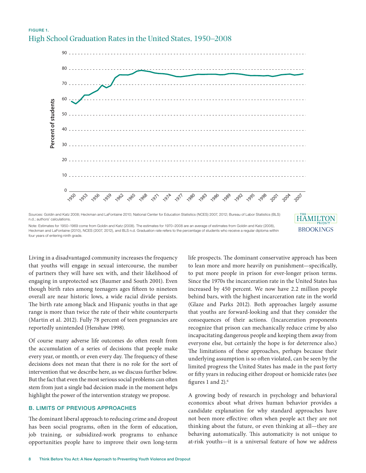## FIGURE 1. High School Graduation Rates in the United States, 1950–2008



n.d.; authors' calculations. Note: Estimates for 1950–1969 come from Goldin and Katz (2008). The estimates for 1970–2008 are an average of estimates from Goldin and Katz (2008), Heckman and LaFontaine (2010), NCES (2007, 2012), and BLS n.d. Graduation rate refers to the percentage of students who receive a regular diploma within **HAMILTO BROOKINGS** 

Living in a disadvantaged community increases the frequency that youths will engage in sexual intercourse, the number of partners they will have sex with, and their likelihood of engaging in unprotected sex (Baumer and South 2001). Even though birth rates among teenagers ages fifteen to nineteen overall are near historic lows, a wide racial divide persists. The birth rate among black and Hispanic youths in that age range is more than twice the rate of their white counterparts (Martin et al. 2012). Fully 78 percent of teen pregnancies are reportedly unintended (Henshaw 1998).

four years of entering ninth grade.

Of course many adverse life outcomes do often result from the accumulation of a series of decisions that people make every year, or month, or even every day. The frequency of these decisions does not mean that there is no role for the sort of intervention that we describe here, as we discuss further below. But the fact that even the most serious social problems can often stem from just a single bad decision made in the moment helps highlight the power of the intervention strategy we propose.

#### B. LIMITS OF PREVIOUS APPROACHES

The dominant liberal approach to reducing crime and dropout has been social programs, often in the form of education, job training, or subsidized-work programs to enhance opportunities people have to improve their own long-term life prospects. The dominant conservative approach has been to lean more and more heavily on punishment—specifically, to put more people in prison for ever-longer prison terms. Since the 1970s the incarceration rate in the United States has increased by 450 percent. We now have 2.2 million people behind bars, with the highest incarceration rate in the world (Glaze and Parks 2012). Both approaches largely assume that youths are forward-looking and that they consider the consequences of their actions. (Incarceration proponents recognize that prison can mechanically reduce crime by also incapacitating dangerous people and keeping them away from everyone else, but certainly the hope is for deterrence also.) The limitations of these approaches, perhaps because their underlying assumption is so often violated, can be seen by the limited progress the United States has made in the past forty or fifty years in reducing either dropout or homicide rates (see figures 1 and 2).<sup>6</sup>

A growing body of research in psychology and behavioral economics about what drives human behavior provides a candidate explanation for why standard approaches have not been more effective: often when people act they are not thinking about the future, or even thinking at all—they are behaving automatically. This automaticity is not unique to at-risk youths—it is a universal feature of how we address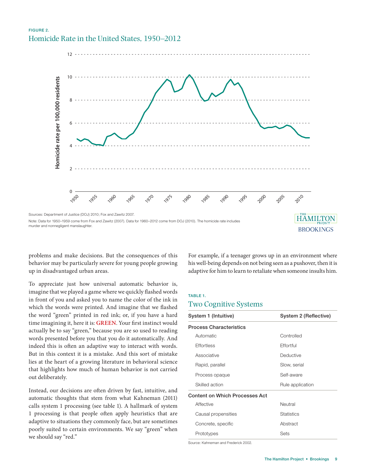### FIGURE 2. Homicide Rate in the United States, 1950–2012



problems and make decisions. But the consequences of this behavior may be particularly severe for young people growing up in disadvantaged urban areas.

To appreciate just how universal automatic behavior is, imagine that we played a game where we quickly flashed words in front of you and asked you to name the color of the ink in which the words were printed. And imagine that we flashed the word "green" printed in red ink; or, if you have a hard time imagining it, here it is: **GREEN**. Your first instinct would actually be to say "green," because you are so used to reading words presented before you that you do it automatically. And indeed this is often an adaptive way to interact with words. But in this context it is a mistake. And this sort of mistake lies at the heart of a growing literature in behavioral science that highlights how much of human behavior is not carried out deliberately.

Instead, our decisions are often driven by fast, intuitive, and automatic thoughts that stem from what Kahneman (2011) calls system 1 processing (see table 1). A hallmark of system 1 processing is that people often apply heuristics that are adaptive to situations they commonly face, but are sometimes poorly suited to certain environments. We say "green" when we should say "red."

For example, if a teenager grows up in an environment where his well-being depends on not being seen as a pushover, then it is adaptive for him to learn to retaliate when someone insults him.

#### TABLE 1.

#### Two Cognitive Systems

| System 1 (Intuitive)                  | System 2 (Reflective) |  |  |  |
|---------------------------------------|-----------------------|--|--|--|
| <b>Process Characteristics</b>        |                       |  |  |  |
| Automatic                             | Controlled            |  |  |  |
| Effortless                            | Effortful             |  |  |  |
| Associative                           | Deductive             |  |  |  |
| Rapid, parallel                       | Slow, serial          |  |  |  |
| Process opaque                        | Self-aware            |  |  |  |
| Skilled action                        | Rule application      |  |  |  |
| <b>Content on Which Processes Act</b> |                       |  |  |  |
| Affective                             | Neutral               |  |  |  |
| Causal propensities                   | <b>Statistics</b>     |  |  |  |
| Concrete, specific                    | Abstract              |  |  |  |
| Prototypes                            | Sets                  |  |  |  |

Source: Kahneman and Frederick 2002.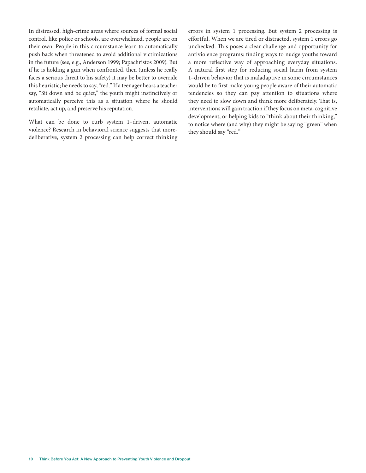In distressed, high-crime areas where sources of formal social control, like police or schools, are overwhelmed, people are on their own. People in this circumstance learn to automatically push back when threatened to avoid additional victimizations in the future (see, e.g., Anderson 1999; Papachristos 2009). But if he is holding a gun when confronted, then (unless he really faces a serious threat to his safety) it may be better to override this heuristic; he needs to say, "red." If a teenager hears a teacher say, "Sit down and be quiet," the youth might instinctively or automatically perceive this as a situation where he should retaliate, act up, and preserve his reputation.

What can be done to curb system 1–driven, automatic violence? Research in behavioral science suggests that moredeliberative, system 2 processing can help correct thinking errors in system 1 processing. But system 2 processing is effortful. When we are tired or distracted, system 1 errors go unchecked. This poses a clear challenge and opportunity for antiviolence programs: finding ways to nudge youths toward a more reflective way of approaching everyday situations. A natural first step for reducing social harm from system 1–driven behavior that is maladaptive in some circumstances would be to first make young people aware of their automatic tendencies so they can pay attention to situations where they need to slow down and think more deliberately. That is, interventions will gain traction if they focus on meta-cognitive development, or helping kids to "think about their thinking," to notice where (and why) they might be saying "green" when they should say "red."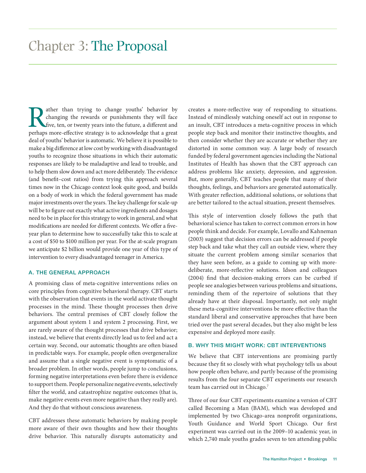The ather than trying to change youths' behavior by changing the rewards or punishments they will face five, ten, or twenty years into the future, a different and perhaps more-effective strategy is to acknowledge that a gr changing the rewards or punishments they will face five, ten, or twenty years into the future, a different and perhaps more-effective strategy is to acknowledge that a great deal of youths' behavior is automatic. We believe it is possible to make a big difference at low cost by working with disadvantaged youths to recognize those situations in which their automatic responses are likely to be maladaptive and lead to trouble, and to help them slow down and act more deliberately. The evidence (and benefit–cost ratios) from trying this approach several times now in the Chicago context look quite good, and builds on a body of work in which the federal government has made major investments over the years. The key challenge for scale-up will be to figure out exactly what active ingredients and dosages need to be in place for this strategy to work in general, and what modifications are needed for different contexts. We offer a fiveyear plan to determine how to successfully take this to scale at a cost of \$50 to \$100 million per year. For the at-scale program we anticipate \$2 billion would provide one year of this type of intervention to every disadvantaged teenager in America.

#### A. THE GENERAL APPROACH

A promising class of meta-cognitive interventions relies on core principles from cognitive behavioral therapy. CBT starts with the observation that events in the world activate thought processes in the mind. These thought processes then drive behaviors. The central premises of CBT closely follow the argument about system 1 and system 2 processing. First, we are rarely aware of the thought processes that drive behavior; instead, we believe that events directly lead us to feel and act a certain way. Second, our automatic thoughts are often biased in predictable ways. For example, people often overgeneralize and assume that a single negative event is symptomatic of a broader problem. In other words, people jump to conclusions, forming negative interpretations even before there is evidence to support them. People personalize negative events, selectively filter the world, and catastrophize negative outcomes (that is, make negative events even more negative than they really are). And they do that without conscious awareness.

CBT addresses these automatic behaviors by making people more aware of their own thoughts and how their thoughts drive behavior. This naturally disrupts automaticity and

creates a more-reflective way of responding to situations. Instead of mindlessly watching oneself act out in response to an insult, CBT introduces a meta-cognitive process in which people step back and monitor their instinctive thoughts, and then consider whether they are accurate or whether they are distorted in some common way. A large body of research funded by federal government agencies including the National Institutes of Health has shown that the CBT approach can address problems like anxiety, depression, and aggression. But, more generally, CBT teaches people that many of their thoughts, feelings, and behaviors are generated automatically. With greater reflection, additional solutions, or solutions that are better tailored to the actual situation, present themselves.

This style of intervention closely follows the path that behavioral science has taken to correct common errors in how people think and decide. For example, Lovallo and Kahneman (2003) suggest that decision errors can be addressed if people step back and take what they call an outside view, where they situate the current problem among similar scenarios that they have seen before, as a guide to coming up with moredeliberate, more-reflective solutions. Idson and colleagues (2004) find that decision-making errors can be curbed if people see analogies between various problems and situations, reminding them of the repertoire of solutions that they already have at their disposal. Importantly, not only might these meta-cognitive interventions be more effective than the standard liberal and conservative approaches that have been tried over the past several decades, but they also might be less expensive and deployed more easily.

#### B. WHY THIS MIGHT WORK: CBT INTERVENTIONS

We believe that CBT interventions are promising partly because they fit so closely with what psychology tells us about how people often behave, and partly because of the promising results from the four separate CBT experiments our research team has carried out in Chicago.7

Three of our four CBT experiments examine a version of CBT called Becoming a Man (BAM), which was developed and implemented by two Chicago-area nonprofit organizations, Youth Guidance and World Sport Chicago. Our first experiment was carried out in the 2009–10 academic year, in which 2,740 male youths grades seven to ten attending public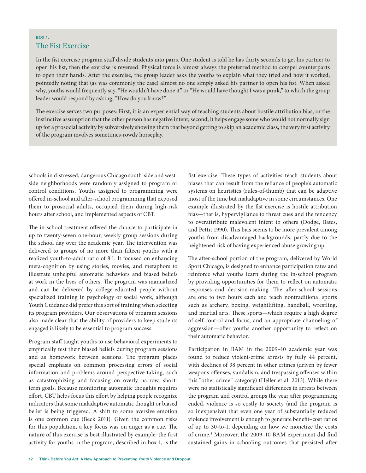### BOX 1. The Fist Exercise

In the fist exercise program staff divide students into pairs. One student is told he has thirty seconds to get his partner to open his fist, then the exercise is reversed. Physical force is almost always the preferred method to compel counterparts to open their hands. After the exercise, the group leader asks the youths to explain what they tried and how it worked, pointedly noting that (as was commonly the case) almost no one simply asked his partner to open his fist. When asked why, youths would frequently say, "He wouldn't have done it" or "He would have thought I was a punk," to which the group leader would respond by asking, "How do you know?"

The exercise serves two purposes: First, it is an experiential way of teaching students about hostile attribution bias, or the instinctive assumption that the other person has negative intent; second, it helps engage some who would not normally sign up for a prosocial activity by subversively showing them that beyond getting to skip an academic class, the very first activity of the program involves sometimes-rowdy horseplay.

schools in distressed, dangerous Chicago south-side and westside neighborhoods were randomly assigned to program or control conditions. Youths assigned to programming were offered in-school and after-school programming that exposed them to prosocial adults, occupied them during high-risk hours after school, and implemented aspects of CBT.

The in-school treatment offered the chance to participate in up to twenty-seven one-hour, weekly group sessions during the school day over the academic year. The intervention was delivered to groups of no more than fifteen youths with a realized youth-to-adult ratio of 8:1. It focused on enhancing meta-cognition by using stories, movies, and metaphors to illustrate unhelpful automatic behaviors and biased beliefs at work in the lives of others. The program was manualized and can be delivered by college-educated people without specialized training in psychology or social work, although Youth Guidance did prefer this sort of training when selecting its program providers. Our observations of program sessions also made clear that the ability of providers to keep students engaged is likely to be essential to program success.

Program staff taught youths to use behavioral experiments to empirically test their biased beliefs during program sessions and as homework between sessions. The program places special emphasis on common processing errors of social information and problems around perspective-taking, such as catastrophizing and focusing on overly narrow, shortterm goals. Because monitoring automatic thoughts requires effort, CBT helps focus this effort by helping people recognize indicators that some maladaptive automatic thought or biased belief is being triggered. A shift to some aversive emotion is one common cue (Beck 2011). Given the common risks for this population, a key focus was on anger as a cue. The nature of this exercise is best illustrated by example: the first activity for youths in the program, described in box 1, is the

fist exercise. These types of activities teach students about biases that can result from the reliance of people's automatic systems on heuristics (rules-of-thumb) that can be adaptive most of the time but maladaptive in some circumstances. One example illustrated by the fist exercise is hostile attribution bias—that is, hypervigilance to threat cues and the tendency to overattribute malevolent intent to others (Dodge, Bates, and Pettit 1990). This bias seems to be more prevalent among youths from disadvantaged backgrounds, partly due to the heightened risk of having experienced abuse growing up.

The after-school portion of the program, delivered by World Sport Chicago, is designed to enhance participation rates and reinforce what youths learn during the in-school program by providing opportunities for them to reflect on automatic responses and decision-making. The after-school sessions are one to two hours each and teach nontraditional sports such as archery, boxing, weightlifting, handball, wrestling, and martial arts. These sports—which require a high degree of self-control and focus, and an appropriate channeling of aggression—offer youths another opportunity to reflect on their automatic behavior.

Participation in BAM in the 2009–10 academic year was found to reduce violent-crime arrests by fully 44 percent, with declines of 38 percent in other crimes (driven by fewer weapons offenses, vandalism, and trespassing offenses within this "other crime" category) (Heller et al. 2013). While there were no statistically significant differences in arrests between the program and control groups the year after programming ended, violence is so costly to society (and the program is so inexpensive) that even one year of substantially reduced violence involvement is enough to generate benefit–cost ratios of up to 30-to-1, depending on how we monetize the costs of crime.<sup>8</sup> Moreover, the 2009-10 BAM experiment did find sustained gains in schooling outcomes that persisted after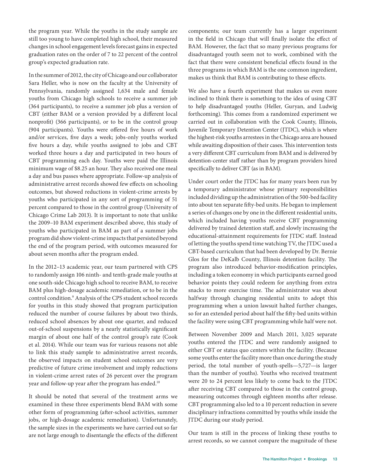the program year. While the youths in the study sample are still too young to have completed high school, their measured changes in school engagement levels forecast gains in expected graduation rates on the order of 7 to 22 percent of the control group's expected graduation rate.

In the summer of 2012, the city of Chicago and our collaborator Sara Heller, who is now on the faculty at the University of Pennsylvania, randomly assigned 1,634 male and female youths from Chicago high schools to receive a summer job (364 participants), to receive a summer job plus a version of CBT (either BAM or a version provided by a different local nonprofit) (366 participants), or to be in the control group (904 participants). Youths were offered five hours of work and/or services, five days a week; jobs-only youths worked five hours a day, while youths assigned to jobs and CBT worked three hours a day and participated in two hours of CBT programming each day. Youths were paid the Illinois minimum wage of \$8.25 an hour. They also received one meal a day and bus passes where appropriate. Follow-up analysis of administrative arrest records showed few effects on schooling outcomes, but showed reductions in violent-crime arrests by youths who participated in any sort of programming of 51 percent compared to those in the control group (University of Chicago Crime Lab 2013). It is important to note that unlike the 2009–10 BAM experiment described above, this study of youths who participated in BAM as part of a summer jobs program did show violent-crime impacts that persisted beyond the end of the program period, with outcomes measured for about seven months after the program ended.

In the 2012–13 academic year, our team partnered with CPS to randomly assign 106 ninth- and tenth-grade male youths at one south-side Chicago high school to receive BAM, to receive BAM plus high-dosage academic remediation, or to be in the control condition.9 Analysis of the CPS student school records for youths in this study showed that program participation reduced the number of course failures by about two thirds, reduced school absences by about one quarter, and reduced out-of-school suspensions by a nearly statistically significant margin of about one half of the control group's rate (Cook et al. 2014). While our team was for various reasons not able to link this study sample to administrative arrest records, the observed impacts on student school outcomes are very predictive of future crime involvement and imply reductions in violent-crime arrest rates of 26 percent over the program year and follow-up year after the program has ended.10

It should be noted that several of the treatment arms we examined in these three experiments blend BAM with some other form of programming (after-school activities, summer jobs, or high-dosage academic remediation). Unfortunately, the sample sizes in the experiments we have carried out so far are not large enough to disentangle the effects of the different components; our team currently has a larger experiment in the field in Chicago that will finally isolate the effect of BAM. However, the fact that so many previous programs for disadvantaged youth seem not to work, combined with the fact that there were consistent beneficial effects found in the three programs in which BAM is the one common ingredient, makes us think that BAM is contributing to these effects.

We also have a fourth experiment that makes us even more inclined to think there is something to the idea of using CBT to help disadvantaged youths (Heller, Guryan, and Ludwig forthcoming). This comes from a randomized experiment we carried out in collaboration with the Cook County, Illinois, Juvenile Temporary Detention Center (JTDC), which is where the highest-risk youths arrestees in the Chicago area are housed while awaiting disposition of their cases. This intervention tests a very different CBT curriculum from BAM and is delivered by detention-center staff rather than by program providers hired specifically to deliver CBT (as in BAM).

Under court order the JTDC has for many years been run by a temporary administrator whose primary responsibilities included dividing up the administration of the 500-bed facility into about ten separate fifty-bed units. He began to implement a series of changes one by one in the different residential units, which included having youths receive CBT programming delivered by trained detention staff, and slowly increasing the educational-attainment requirements for JTDC staff. Instead of letting the youths spend time watching TV, the JTDC used a CBT-based curriculum that had been developed by Dr. Bernie Glos for the DeKalb County, Illinois detention facility. The program also introduced behavior-modification principles, including a token economy in which participants earned good behavior points they could redeem for anything from extra snacks to more exercise time. The administrator was about halfway through changing residential units to adopt this programming when a union lawsuit halted further changes, so for an extended period about half the fifty-bed units within the facility were using CBT programming while half were not.

Between November 2009 and March 2011, 3,025 separate youths entered the JTDC and were randomly assigned to either CBT or status quo centers within the facility. (Because some youths enter the facility more than once during the study period, the total number of youth-spells—5,727—is larger than the number of youths). Youths who received treatment were 20 to 24 percent less likely to come back to the JTDC after receiving CBT compared to those in the control group, measuring outcomes through eighteen months after release. CBT programming also led to a 10 percent reduction in severe disciplinary infractions committed by youths while inside the JTDC during our study period.

Our team is still in the process of linking these youths to arrest records, so we cannot compare the magnitude of these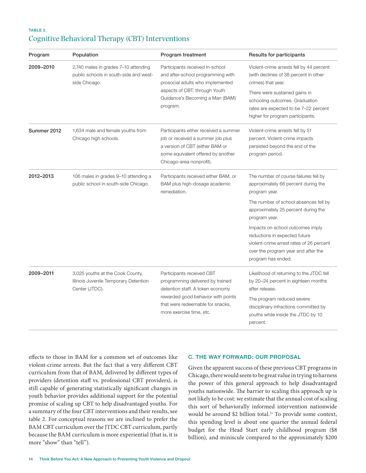### TABLE 2. Cognitive Behavioral Therapy (CBT) Interventions

| Program     | Population                                                                                      | Program treatment                                                                                                                                                                                       | Results for participants                                                                                                                                                                                                                                |
|-------------|-------------------------------------------------------------------------------------------------|---------------------------------------------------------------------------------------------------------------------------------------------------------------------------------------------------------|---------------------------------------------------------------------------------------------------------------------------------------------------------------------------------------------------------------------------------------------------------|
| 2009-2010   | 2,740 males in grades 7-10 attending<br>public schools in south-side and west-<br>side Chicago. | Participants received in-school<br>and after-school programming with<br>prosocial adults who implemented<br>aspects of CBT, through Youth<br>Guidance's Becoming a Man (BAM)<br>program.                | Violent-crime arrests fell by 44 percent<br>(with declines of 38 percent in other<br>crimes) that year.<br>There were sustained gains in<br>schooling outcomes. Graduation<br>rates are expected to be 7-22 percent<br>higher for program participants. |
| Summer 2012 | 1,634 male and female youths from<br>Chicago high schools.                                      | Participants either received a summer<br>job or received a summer job plus<br>a version of CBT (either BAM or<br>some equivalent offered by another<br>Chicago-area nonprofit).                         | Violent-crime arrests fell by 51<br>percent. Violent-crime impacts<br>persisted beyond the end of the<br>program period.                                                                                                                                |
| 2012-2013   | 106 males in grades 9-10 attending a<br>public school in south-side Chicago.                    | Participants received either BAM, or<br>BAM plus high-dosage academic<br>remediation.                                                                                                                   | The number of course failures fell by<br>approximately 66 percent during the<br>program year.                                                                                                                                                           |
|             |                                                                                                 |                                                                                                                                                                                                         | The number of school absences fell by<br>approximately 25 percent during the<br>program year.                                                                                                                                                           |
|             |                                                                                                 |                                                                                                                                                                                                         | Impacts on school outcomes imply<br>reductions in expected future<br>violent-crime arrest rates of 26 percent<br>over the program year and after the<br>program has ended.                                                                              |
| 2009-2011   | 3,025 youths at the Cook County,<br>Illinois Juvenile Temporary Detention<br>Center (JTDC).     | Participants received CBT<br>programming delivered by trained<br>detention staff. A token economy<br>rewarded good behavior with points<br>that were redeemable for snacks,<br>more exercise time, etc. | Likelihood of returning to the JTDC fell<br>by 20-24 percent in eighteen months<br>after release.                                                                                                                                                       |
|             |                                                                                                 |                                                                                                                                                                                                         | The program reduced severe<br>disciplinary infractions committed by<br>youths while inside the JTDC by 10<br>percent.                                                                                                                                   |

effects to those in BAM for a common set of outcomes like violent-crime arrests. But the fact that a very different CBT curriculum from that of BAM, delivered by different types of providers (detention staff vs. professional CBT providers), is still capable of generating statistically significant changes in youth behavior provides additional support for the potential promise of scaling up CBT to help disadvantaged youths. For a summary of the four CBT interventions and their results, see table 2. For conceptual reasons we are inclined to prefer the BAM CBT curriculum over the JTDC CBT curriculum, partly because the BAM curriculum is more experiential (that is, it is more "show" than "tell").

#### C. THE WAY FORWARD: OUR PROPOSAL

Given the apparent success of these previous CBT programs in Chicago, there would seem to be great value in trying to harness the power of this general approach to help disadvantaged youths nationwide. The barrier to scaling this approach up is not likely to be cost: we estimate that the annual cost of scaling this sort of behaviorally informed intervention nationwide would be around \$2 billion total.<sup>11</sup> To provide some context, this spending level is about one quarter the annual federal budget for the Head Start early childhood program (\$8 billion), and miniscule compared to the approximately \$200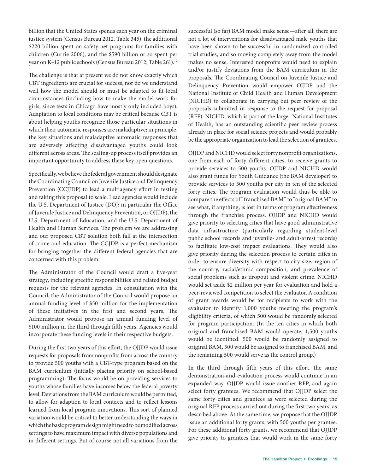billion that the United States spends each year on the criminal justice system (Census Bureau 2012, Table 345), the additional \$220 billion spent on safety-net programs for families with children (Currie 2006), and the \$590 billion or so spent per year on K-12 public schools (Census Bureau 2012, Table 261).<sup>12</sup>

The challenge is that at present we do not know exactly which CBT ingredients are crucial for success, nor do we understand well how the model should or must be adapted to fit local circumstances (including how to make the model work for girls, since tests in Chicago have mostly only included boys). Adaptation to local conditions may be critical because CBT is about helping youths recognize those particular situations in which their automatic responses are maladaptive; in principle, the key situations and maladaptive automatic responses that are adversely affecting disadvantaged youths could look different across areas. The scaling-up process itself provides an important opportunity to address these key open questions.

Specifically, we believe the federal government should designate the Coordinating Council on Juvenile Justice and Delinquency Prevention (CCJJDP) to lead a multiagency effort in testing and taking this proposal to scale. Lead agencies would include the U.S. Department of Justice (DOJ; in particular the Office of Juvenile Justice and Delinquency Prevention, or OJJDP), the U.S. Department of Education, and the U.S. Department of Health and Human Services. The problem we are addressing and our proposed CBT solution both fall at the intersection of crime and education. The CCJDP is a perfect mechanism for bringing together the different federal agencies that are concerned with this problem.

The Administrator of the Council would draft a five-year strategy, including specific responsibilities and related budget requests for the relevant agencies. In consultation with the Council, the Administrator of the Council would propose an annual funding level of \$50 million for the implementation of these initiatives in the first and second years. The Administrator would propose an annual funding level of \$100 million in the third through fifth years. Agencies would incorporate these funding levels in their respective budgets.

During the first two years of this effort, the OJJDP would issue requests for proposals from nonprofits from across the country to provide 500 youths with a CBT-type program based on the BAM curriculum (initially placing priority on school-based programming). The focus would be on providing services to youths whose families have incomes below the federal poverty level. Deviations from the BAM curriculum would be permitted, to allow for adaption to local contexts and to reflect lessons learned from local program innovations. This sort of planned variation would be critical to better understanding the ways in which the basic program design might need to be modified across settings to have maximum impact with diverse populations and in different settings. But of course not all variations from the

successful (so far) BAM model make sense—after all, there are not a lot of interventions for disadvantaged male youths that have been shown to be successful in randomized controlled trial studies, and so moving completely away from the model makes no sense. Interested nonprofits would need to explain and/or justify deviations from the BAM curriculum in the proposals. The Coordinating Council on Juvenile Justice and Delinquency Prevention would empower OJJDP and the National Institute of Child Health and Human Development (NICHD) to collaborate in carrying out peer review of the proposals submitted in response to the request for proposal (RFP). NICHD, which is part of the larger National Institutes of Health, has an outstanding scientific peer review process already in place for social science projects and would probably be the appropriate organization to lead the selection of grantees.

OJJDP and NICHD would select forty nonprofit organizations, one from each of forty different cities, to receive grants to provide services to 500 youths. OJJDP and NICHD would also grant funds for Youth Guidance (the BAM developer) to provide services to 500 youths per city in ten of the selected forty cities. The program evaluation would thus be able to compare the effects of "franchised BAM" to "original BAM" to see what, if anything, is lost in terms of program effectiveness through the franchise process. OJJDP and NICHD would give priority to selecting cities that have good administrative data infrastructure (particularly regarding student-level public school records and juvenile- and adult-arrest records) to facilitate low-cost impact evaluations. They would also give priority during the selection process to certain cities in order to ensure diversity with respect to city size, region of the country, racial/ethnic composition, and prevalence of social problems such as dropout and violent crime. NICHD would set aside \$2 million per year for evaluation and hold a peer-reviewed competition to select the evaluator. A condition of grant awards would be for recipients to work with the evaluator to identify 1,000 youths meeting the program's eligibility criteria, of which 500 would be randomly selected for program participation. (In the ten cities in which both original and franchised BAM would operate, 1,500 youths would be identified: 500 would be randomly assigned to original BAM, 500 would be assigned to franchised BAM, and the remaining 500 would serve as the control group.)

In the third through fifth years of this effort, the same demonstration-and-evaluation process would continue in an expanded way. OJJDP would issue another RFP, and again select forty grantees. We recommend that OJJDP select the same forty cities and grantees as were selected during the original RFP process carried out during the first two years, as described above. At the same time, we propose that the OJJDP issue an additional forty grants, with 500 youths per grantee. For these additional forty grants, we recommend that OJJDP give priority to grantees that would work in the same forty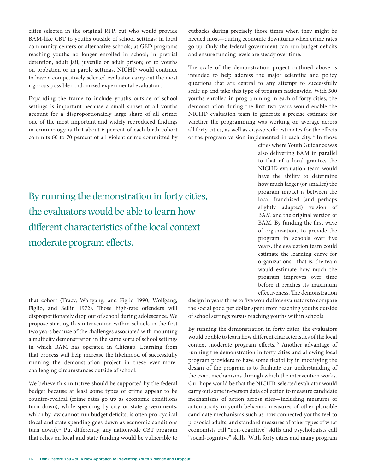cities selected in the original RFP, but who would provide BAM-like CBT to youths outside of school settings: in local community centers or alternative schools; at GED programs reaching youths no longer enrolled in school; in pretrial detention, adult jail, juvenile or adult prison; or to youths on probation or in parole settings. NICHD would continue to have a competitively selected evaluator carry out the most rigorous possible randomized experimental evaluation.

Expanding the frame to include youths outside of school settings is important because a small subset of all youths account for a disproportionately large share of all crime: one of the most important and widely reproduced findings in criminology is that about 6 percent of each birth cohort commits 60 to 70 percent of all violent crime committed by

By running the demonstration in forty cities, the evaluators would be able to learn how different characteristics of the local context moderate program effects.

cutbacks during precisely those times when they might be needed most—during economic downturns when crime rates go up. Only the federal government can run budget deficits and ensure funding levels are steady over time.

The scale of the demonstration project outlined above is intended to help address the major scientific and policy questions that are central to any attempt to successfully scale up and take this type of program nationwide. With 500 youths enrolled in programming in each of forty cities, the demonstration during the first two years would enable the NICHD evaluation team to generate a precise estimate for whether the programming was working on average across all forty cities, as well as city-specific estimates for the effects of the program version implemented in each city.<sup>14</sup> In those

> cities where Youth Guidance was also delivering BAM in parallel to that of a local grantee, the NICHD evaluation team would have the ability to determine how much larger (or smaller) the program impact is between the local franchised (and perhaps slightly adapted) version of BAM and the original version of BAM. By funding the first wave of organizations to provide the program in schools over five years, the evaluation team could estimate the learning curve for organizations—that is, the team would estimate how much the program improves over time before it reaches its maximum effectiveness. The demonstration

that cohort (Tracy, Wolfgang, and Figlio 1990; Wolfgang, Figlio, and Sellin 1972). Those high-rate offenders will disproportionately drop out of school during adolescence. We propose starting this intervention within schools in the first two years because of the challenges associated with mounting a multicity demonstration in the same sorts of school settings in which BAM has operated in Chicago. Learning from that process will help increase the likelihood of successfully running the demonstration project in these even-morechallenging circumstances outside of school.

We believe this initiative should be supported by the federal budget because at least some types of crime appear to be counter-cyclical (crime rates go up as economic conditions turn down), while spending by city or state governments, which by law cannot run budget deficits, is often pro-cyclical (local and state spending goes down as economic conditions turn down).<sup>13</sup> Put differently, any nationwide CBT program that relies on local and state funding would be vulnerable to

design in years three to five would allow evaluators to compare the social good per dollar spent from reaching youths outside of school settings versus reaching youths within schools.

By running the demonstration in forty cities, the evaluators would be able to learn how different characteristics of the local context moderate program effects.15 Another advantage of running the demonstration in forty cities and allowing local program providers to have some flexibility in modifying the design of the program is to facilitate our understanding of the exact mechanisms through which the intervention works. Our hope would be that the NICHD-selected evaluator would carry out some in-person data collection to measure candidate mechanisms of action across sites—including measures of automaticity in youth behavior, measures of other plausible candidate mechanisms such as how connected youths feel to prosocial adults, and standard measures of other types of what economists call "non-cognitive" skills and psychologists call "social-cognitive" skills. With forty cities and many program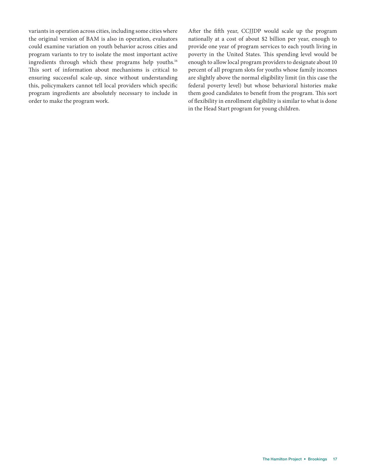variants in operation across cities, including some cities where the original version of BAM is also in operation, evaluators could examine variation on youth behavior across cities and program variants to try to isolate the most important active ingredients through which these programs help youths.<sup>16</sup> This sort of information about mechanisms is critical to ensuring successful scale-up, since without understanding this, policymakers cannot tell local providers which specific program ingredients are absolutely necessary to include in order to make the program work.

After the fifth year, CCJJDP would scale up the program nationally at a cost of about \$2 billion per year, enough to provide one year of program services to each youth living in poverty in the United States. This spending level would be enough to allow local program providers to designate about 10 percent of all program slots for youths whose family incomes are slightly above the normal eligibility limit (in this case the federal poverty level) but whose behavioral histories make them good candidates to benefit from the program. This sort of flexibility in enrollment eligibility is similar to what is done in the Head Start program for young children.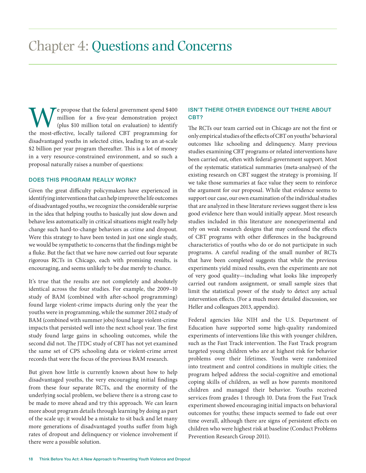We propose that the federal government spend \$400 million for a five-year demonstration project (plus \$10 million total on evaluation) to identify the most-effective, locally tailored CBT programming for million for a five-year demonstration project (plus \$10 million total on evaluation) to identify the most-effective, locally tailored CBT programming for disadvantaged youths in selected cities, leading to an at-scale \$2 billion per year program thereafter. This is a lot of money in a very resource-constrained environment, and so such a proposal naturally raises a number of questions:

#### DOES THIS PROGRAM REALLY WORK?

Given the great difficulty policymakers have experienced in identifying interventions that can help improve the life outcomes of disadvantaged youths, we recognize the considerable surprise in the idea that helping youths to basically just slow down and behave less automatically in critical situations might really help change such hard-to-change behaviors as crime and dropout. Were this strategy to have been tested in just one single study, we would be sympathetic to concerns that the findings might be a fluke. But the fact that we have now carried out four separate rigorous RCTs in Chicago, each with promising results, is encouraging, and seems unlikely to be due merely to chance.

It's true that the results are not completely and absolutely identical across the four studies. For example, the 2009–10 study of BAM (combined with after-school programming) found large violent-crime impacts during only the year the youths were in programming, while the summer 2012 study of BAM (combined with summer jobs) found large violent-crime impacts that persisted well into the next school year. The first study found large gains in schooling outcomes, while the second did not. The JTDC study of CBT has not yet examined the same set of CPS schooling data or violent-crime arrest records that were the focus of the previous BAM research.

But given how little is currently known about how to help disadvantaged youths, the very encouraging initial findings from these four separate RCTs, and the enormity of the underlying social problem, we believe there is a strong case to be made to move ahead and try this approach. We can learn more about program details through learning by doing as part of the scale up; it would be a mistake to sit back and let many more generations of disadvantaged youths suffer from high rates of dropout and delinquency or violence involvement if there were a possible solution.

### ISN'T THERE OTHER EVIDENCE OUT THERE ABOUT CBT?

The RCTs our team carried out in Chicago are not the first or only empirical studies of the effects of CBT on youths' behavioral outcomes like schooling and delinquency. Many previous studies examining CBT programs or related interventions have been carried out, often with federal-government support. Most of the systematic statistical summaries (meta-analyses) of the existing research on CBT suggest the strategy is promising. If we take those summaries at face value they seem to reinforce the argument for our proposal. While that evidence seems to support our case, our own examination of the individual studies that are analyzed in these literature reviews suggest there is less good evidence here than would initially appear. Most research studies included in this literature are nonexperimental and rely on weak research designs that may confound the effects of CBT programs with other differences in the background characteristics of youths who do or do not participate in such programs. A careful reading of the small number of RCTs that have been completed suggests that while the previous experiments yield mixed results, even the experiments are not of very good quality—including what looks like improperly carried out random assignment, or small sample sizes that limit the statistical power of the study to detect any actual intervention effects. (For a much more detailed discussion, see Heller and colleagues 2013, appendix).

Federal agencies like NIH and the U.S. Department of Education have supported some high-quality randomized experiments of interventions like this with younger children, such as the Fast Track intervention. The Fast Track program targeted young children who are at highest risk for behavior problems over their lifetimes. Youths were randomized into treatment and control conditions in multiple cities; the program helped address the social-cognitive and emotional coping skills of children, as well as how parents monitored children and managed their behavior. Youths received services from grades 1 through 10. Data from the Fast Track experiment showed encouraging initial impacts on behavioral outcomes for youths; these impacts seemed to fade out over time overall, although there are signs of persistent effects on children who were highest risk at baseline (Conduct Problems Prevention Research Group 2011).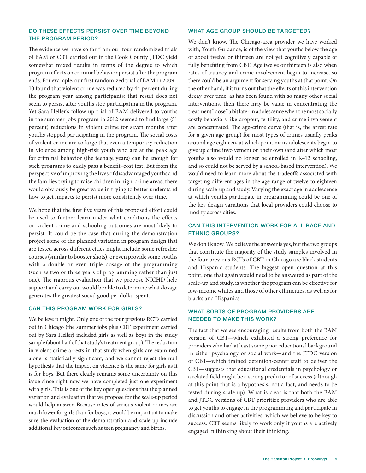#### DO THESE EFFECTS PERSIST OVER TIME BEYOND THE PROGRAM PERIOD?

The evidence we have so far from our four randomized trials of BAM or CBT carried out in the Cook County JTDC yield somewhat mixed results in terms of the degree to which program effects on criminal behavior persist after the program ends. For example, our first randomized trial of BAM in 2009– 10 found that violent crime was reduced by 44 percent during the program year among participants; that result does not seem to persist after youths stop participating in the program. Yet Sara Heller's follow-up trial of BAM delivered to youths in the summer jobs program in 2012 seemed to find large (51 percent) reductions in violent crime for seven months after youths stopped participating in the program. The social costs of violent crime are so large that even a temporary reduction in violence among high-risk youth who are at the peak age for criminal behavior (the teenage years) can be enough for such programs to easily pass a benefit–cost test. But from the perspective of improving the lives of disadvantaged youths and the families trying to raise children in high-crime areas, there would obviously be great value in trying to better understand how to get impacts to persist more consistently over time.

We hope that the first five years of this proposed effort could be used to further learn under what conditions the effects on violent crime and schooling outcomes are most likely to persist. It could be the case that during the demonstration project some of the planned variation in program design that are tested across different cities might include some refresher courses (similar to booster shots), or even provide some youths with a double or even triple dosage of the programming (such as two or three years of programming rather than just one). The rigorous evaluation that we propose NICHD help support and carry out would be able to determine what dosage generates the greatest social good per dollar spent.

#### CAN THIS PROGRAM WORK FOR GIRLS?

We believe it might. Only one of the four previous RCTs carried out in Chicago (the summer jobs plus CBT experiment carried out by Sara Heller) included girls as well as boys in the study sample (about half of that study's treatment group). The reduction in violent-crime arrests in that study when girls are examined alone is statistically significant, and we cannot reject the null hypothesis that the impact on violence is the same for girls as it is for boys. But there clearly remains some uncertainty on this issue since right now we have completed just one experiment with girls. This is one of the key open questions that the planned variation and evaluation that we propose for the scale-up period would help answer. Because rates of serious violent crimes are much lower for girls than for boys, it would be important to make sure the evaluation of the demonstration and scale-up include additional key outcomes such as teen pregnancy and births.

#### WHAT AGE GROUP SHOULD BE TARGETED?

We don't know. The Chicago-area provider we have worked with, Youth Guidance, is of the view that youths below the age of about twelve or thirteen are not yet cognitively capable of fully benefiting from CBT. Age twelve or thirteen is also when rates of truancy and crime involvement begin to increase, so there could be an argument for serving youths at that point. On the other hand, if it turns out that the effects of this intervention decay over time, as has been found with so many other social interventions, then there may be value in concentrating the treatment "dose" a bit later in adolescence when the most socially costly behaviors like dropout, fertility, and crime involvement are concentrated. The age-crime curve (that is, the arrest rate for a given age group) for most types of crimes usually peaks around age eighteen, at which point many adolescents begin to give up crime involvement on their own (and after which most youths also would no longer be enrolled in K–12 schooling, and so could not be served by a school-based intervention). We would need to learn more about the tradeoffs associated with targeting different ages in the age range of twelve to eighteen during scale-up and study. Varying the exact age in adolescence at which youths participate in programming could be one of the key design variations that local providers could choose to modify across cities.

#### CAN THIS INTERVENTION WORK FOR ALL RACE AND ETHNIC GROUPS?

We don't know. We believe the answer is yes, but the two groups that constitute the majority of the study samples involved in the four previous RCTs of CBT in Chicago are black students and Hispanic students. The biggest open question at this point, one that again would need to be answered as part of the scale-up and study, is whether the program can be effective for low-income whites and those of other ethnicities, as well as for blacks and Hispanics.

### WHAT SORTS OF PROGRAM PROVIDERS ARE NEEDED TO MAKE THIS WORK?

The fact that we see encouraging results from both the BAM version of CBT—which exhibited a strong preference for providers who had at least some prior educational background in either psychology or social work—and the JTDC version of CBT—which trained detention-center staff to deliver the CBT—suggests that educational credentials in psychology or a related field might be a strong predictor of success (although at this point that is a hypothesis, not a fact, and needs to be tested during scale-up). What is clear is that both the BAM and JTDC versions of CBT prioritize providers who are able to get youths to engage in the programming and participate in discussion and other activities, which we believe to be key to success. CBT seems likely to work only if youths are actively engaged in thinking about their thinking.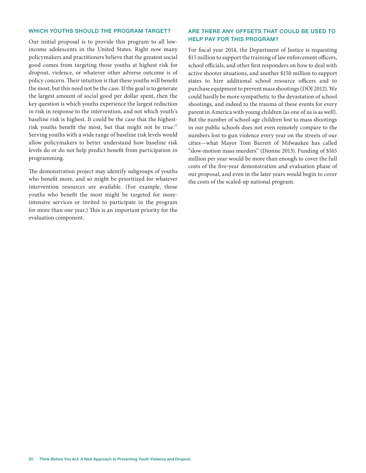#### WHICH YOUTHS SHOULD THE PROGRAM TARGET?

Our initial proposal is to provide this program to all lowincome adolescents in the United States. Right now many policymakers and practitioners believe that the greatest social good comes from targeting those youths at highest risk for dropout, violence, or whatever other adverse outcome is of policy concern. Their intuition is that these youths will benefit the most, but this need not be the case. If the goal is to generate the largest amount of social good per dollar spent, then the key question is which youths experience the largest reduction in risk in response to the intervention, and not which youth's baseline risk is highest. It could be the case that the highestrisk youths benefit the most, but that might not be true.<sup>17</sup> Serving youths with a wide range of baseline risk levels would allow policymakers to better understand how baseline risk levels do or do not help predict benefit from participation in programming.

The demonstration project may identify subgroups of youths who benefit more, and so might be prioritized for whatever intervention resources are available. (For example, those youths who benefit the most might be targeted for moreintensive services or invited to participate in the program for more than one year.) This is an important priority for the evaluation component.

#### ARE THERE ANY OFFSETS THAT COULD BE USED TO HELP PAY FOR THIS PROGRAM?

For fiscal year 2014, the Department of Justice is requesting \$15 million to support the training of law enforcement officers, school officials, and other first responders on how to deal with active shooter situations, and another \$150 million to support states to hire additional school resource officers and to purchase equipment to prevent mass shootings (DOJ 2012). We could hardly be more sympathetic to the devastation of school shootings, and indeed to the trauma of these events for every parent in America with young children (as one of us is as well). But the number of school-age children lost to mass shootings in our public schools does not even remotely compare to the numbers lost to gun violence every year on the streets of our cities—what Mayor Tom Barrett of Milwaukee has called "slow-motion mass murders" (Dionne 2013). Funding of \$165 million per year would be more than enough to cover the full costs of the five-year demonstration and evaluation phase of our proposal, and even in the later years would begin to cover the costs of the scaled-up national program.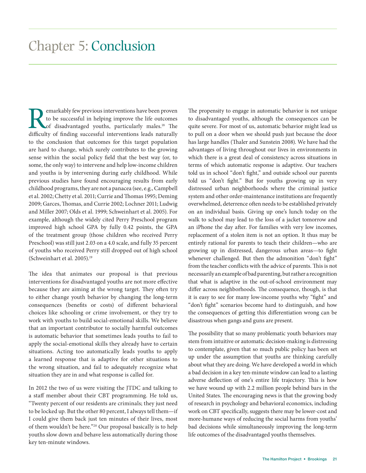## Chapter 5: Conclusion

emarkably few previous interventions have been proven to be successful in helping improve the life outcomes of disadvantaged youths, particularly males.<sup>18</sup> The difficulty of finding successful interventions leads naturally to the conclusion that outcomes for this target population are hard to change, which surely contributes to the growing sense within the social policy field that the best way (or, to some, the only way) to intervene and help low-income children and youths is by intervening during early childhood. While previous studies have found encouraging results from early childhood programs, they are not a panacea (see, e.g., Campbell et al. 2002; Chetty et al. 2011; Currie and Thomas 1995; Deming 2009; Garces, Thomas, and Currie 2002; Lochner 2011; Ludwig and Miller 2007; Olds et al. 1999; Schweinhart et al. 2005). For example, although the widely cited Perry Preschool program improved high school GPA by fully 0.42 points, the GPA of the treatment group (those children who received Perry Preschool) was still just 2.03 on a 4.0 scale, and fully 35 percent of youths who received Perry still dropped out of high school (Schweinhart et al. 2005).19

The idea that animates our proposal is that previous interventions for disadvantaged youths are not more effective because they are aiming at the wrong target. They often try to either change youth behavior by changing the long-term consequences (benefits or costs) of different behavioral choices like schooling or crime involvement, or they try to work with youths to build social-emotional skills. We believe that an important contributor to socially harmful outcomes is automatic behavior that sometimes leads youths to fail to apply the social-emotional skills they already have to certain situations. Acting too automatically leads youths to apply a learned response that is adaptive for other situations to the wrong situation, and fail to adequately recognize what situation they are in and what response is called for.

In 2012 the two of us were visiting the JTDC and talking to a staff member about their CBT programming. He told us, "Twenty percent of our residents are criminals; they just need to be locked up. But the other 80 percent, I always tell them—if I could give them back just ten minutes of their lives, most of them wouldn't be here."20 Our proposal basically is to help youths slow down and behave less automatically during those key ten-minute windows.

The propensity to engage in automatic behavior is not unique to disadvantaged youths, although the consequences can be quite severe. For most of us, automatic behavior might lead us to pull on a door when we should push just because the door has large handles (Thaler and Sunstein 2008). We have had the advantages of living throughout our lives in environments in which there is a great deal of consistency across situations in terms of which automatic response is adaptive. Our teachers told us in school "don't fight," and outside school our parents told us "don't fight." But for youths growing up in very distressed urban neighborhoods where the criminal justice system and other order-maintenance institutions are frequently overwhelmed, deterrence often needs to be established privately on an individual basis. Giving up one's lunch today on the walk to school may lead to the loss of a jacket tomorrow and an iPhone the day after. For families with very low incomes, replacement of a stolen item is not an option. It thus may be entirely rational for parents to teach their children—who are growing up in distressed, dangerous urban areas—to fight whenever challenged. But then the admonition "don't fight" from the teacher conflicts with the advice of parents. This is not necessarily an example of bad parenting, but rather a recognition that what is adaptive in the out-of-school environment may differ across neighborhoods. The consequence, though, is that it is easy to see for many low-income youths why "fight" and "don't fight" scenarios become hard to distinguish, and how the consequences of getting this differentiation wrong can be disastrous when gangs and guns are present.

The possibility that so many problematic youth behaviors may stem from intuitive or automatic decision-making is distressing to contemplate, given that so much public policy has been set up under the assumption that youths are thinking carefully about what they are doing. We have developed a world in which a bad decision in a key ten-minute window can lead to a lasting adverse deflection of one's entire life trajectory. This is how we have wound up with 2.2 million people behind bars in the United States. The encouraging news is that the growing body of research in psychology and behavioral economics, including work on CBT specifically, suggests there may be lower-cost and more-humane ways of reducing the social harms from youths' bad decisions while simultaneously improving the long-term life outcomes of the disadvantaged youths themselves.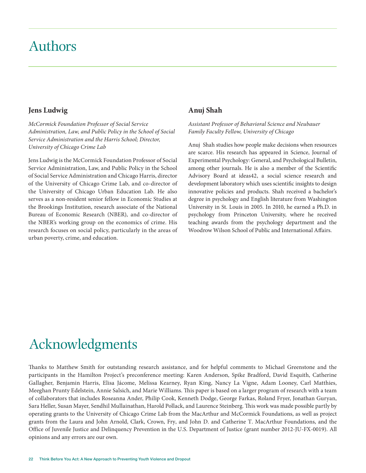## Authors

### **Jens Ludwig**

*McCormick Foundation Professor of Social Service Administration, Law, and Public Policy in the School of Social Service Administration and the Harris School; Director, University of Chicago Crime Lab*

Jens Ludwig is the McCormick Foundation Professor of Social Service Administration, Law, and Public Policy in the School of Social Service Administration and Chicago Harris, director of the University of Chicago Crime Lab, and co-director of the University of Chicago Urban Education Lab. He also serves as a non-resident senior fellow in Economic Studies at the Brookings Institution, research associate of the National Bureau of Economic Research (NBER), and co-director of the NBER's working group on the economics of crime. His research focuses on social policy, particularly in the areas of urban poverty, crime, and education.

### **Anuj Shah**

*Assistant Professor of Behavioral Science and Neubauer Family Faculty Fellow, University of Chicago*

Anuj Shah studies how people make decisions when resources are scarce. His research has appeared in Science, Journal of Experimental Psychology: General, and Psychological Bulletin, among other journals. He is also a member of the Scientific Advisory Board at ideas42, a social science research and development laboratory which uses scientific insights to design innovative policies and products. Shah received a bachelor's degree in psychology and English literature from Washington University in St. Louis in 2005. In 2010, he earned a Ph.D. in psychology from Princeton University, where he received teaching awards from the psychology department and the Woodrow Wilson School of Public and International Affairs.

# Acknowledgments

Thanks to Matthew Smith for outstanding research assistance, and for helpful comments to Michael Greenstone and the participants in the Hamilton Project's preconference meeting: Karen Anderson, Spike Bradford, David Esquith, Catherine Gallagher, Benjamin Harris, Elisa Jácome, Melissa Kearney, Ryan King, Nancy La Vigne, Adam Looney, Carl Matthies, Meeghan Prunty Edelstein, Annie Salsich, and Marie Williams. This paper is based on a larger program of research with a team of collaborators that includes Roseanna Ander, Philip Cook, Kenneth Dodge, George Farkas, Roland Fryer, Jonathan Guryan, Sara Heller, Susan Mayer, Sendhil Mullainathan, Harold Pollack, and Laurence Steinberg. This work was made possible partly by operating grants to the University of Chicago Crime Lab from the MacArthur and McCormick Foundations, as well as project grants from the Laura and John Arnold, Clark, Crown, Fry, and John D. and Catherine T. MacArthur Foundations, and the Office of Juvenile Justice and Delinquency Prevention in the U.S. Department of Justice (grant number 2012-JU-FX-0019). All opinions and any errors are our own.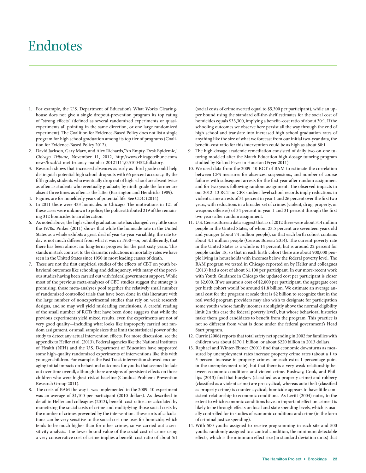## Endnotes

- 1. For example, the U.S. Department of Education's What Works Clearinghouse does not give a single dropout-prevention program its top rating of "strong effects" (defined as several randomized experiments or quasiexperiments all pointing in the same direction, or one large randomized experiment). The Coalition for Evidence-Based Policy does not list a single program for high school graduation among its top tier of programs (Coalition for Evidence-Based Policy 2012).
- 2. David Jackson, Gary Marx, and Alex Richards,"An Empty-Desk Epidemic," *Chicago Tribune*, November 11, 2012, http://www.chicagotribune.com/ news/local/ct-met-truancy-mainbar-20121111,0,5100452,full.story.
- Research shows that increased absences as early as third grade could help distinguish potential high school dropouts with 66 percent accuracy. By the fifth grade, students who eventually drop out of high school are absent twice as often as students who eventually graduate; by ninth grade the former are absent three times as often as the latter (Barrington and Hendricks 1989).
- 4. Figures are for nonelderly years of potential life. See CDC (2014).
- 5. In 2011 there were 433 homicides in Chicago. The motivations in 121 of these cases were unknown to police; the police attributed 219 of the remaining 312 homicides to an altercation.
- 6. As noted above, the high school graduation rate has changed very little since the 1970s. Pinker (2011) shows that while the homicide rate in the United States as a whole exhibits a great deal of year-to-year variability, the rate today is not much different from what it was in 1950—or, put differently, that there has been almost no long-term progress for the past sixty years. This stands in stark contrast to the dramatic reductions in mortality rates we have seen in the United States since 1950 in most leading causes of death.
- 7. These are not the first empirical studies of the effects of CBT on youth behavioral outcomes like schooling and delinquency, with many of the previous studies having been carried out with federal government support. While most of the previous meta-analyses of CBT studies suggest the strategy is promising, those meta-analyses pool together the relatively small number of randomized controlled trials that have been done in this literature with the large number of nonexperimental studies that rely on weak research designs, and so may well yield misleading conclusions. A careful reading of the small number of RCTs that have been done suggests that while the previous experiments yield mixed results, even the experiments are not of very good quality—including what looks like improperly carried out random assignment, or small sample sizes that limit the statistical power of the study to detect any actual intervention effects. For more discussion, see the appendix to Heller et al. (2013). Federal agencies like the National Institutes of Health (NIH) and the U.S. Department of Education have supported some high-quality randomized experiments of interventions like this with younger children. For example, the Fast Track intervention showed encouraging initial impacts on behavioral outcomes for youths that seemed to fade out over time overall, although there are signs of persistent effects on those children who were highest risk at baseline (Conduct Problems Prevention Research Group 2011).
- 8. The costs of BAM the way it was implemented in the 2009–10 experiment was an average of \$1,100 per participant (2010 dollars). As described in detail in Heller and colleagues (2013), benefit–cost ratios are calculated by monetizing the social costs of crime and multiplying those social costs by the number of crimes prevented by the intervention. These sorts of calculations can be very sensitive to the social cost one uses for homicide, which tends to be much higher than for other crimes, so we carried out a sensitivity analysis. The lower-bound value of the social cost of crime using a very conservative cost of crime implies a benefit–cost ratio of about 5:1

(social costs of crime averted equal to \$5,300 per participant), while an upper bound using the standard off-the-shelf estimates for the social cost of homicides equals \$33,300, implying a benefit–cost ratio of about 30:1. If the schooling outcomes we observe here persist all the way through the end of high school and translate into increased high school graduation rates of anything like the size of what we forecast from our initial two-year data, the benefit–cost ratio for this intervention could be as high as about 80:1.

- 9. The high-dosage academic remediation consisted of daily two-on-one tutoring modeled after the Match Education high-dosage tutoring program studied by Roland Fryer in Houston (Fryer 2011).
- 10. We used data from the 2009–10 RCT of BAM to estimate the correlation between CPS measures for absences, suspensions, and number of course failures with subsequent arrests for the first year after random assignment and for two years following random assignment. The observed impacts in our 2012–13 RCT on CPS student-level school records imply reductions in violent crime arrests of 31 percent in year 1 and 26 percent over the first two years, with reductions in a broader set of crimes (violent, drug, property, or weapons offenses) of 34 percent in year 1 and 31 percent through the first two years after random assignment.
- 11. U.S. Census Bureau data suggest that as of 2012 there were about 314 million people in the United States, of whom 23.5 percent are seventeen years old and younger (about 74 million people), so that each birth cohort contains about 4.1 million people (Census Bureau 2014). The current poverty rate in the United States as a whole is 14 percent, but is around 22 percent for people under 18, so that in each birth cohort there are about 900,000 people living in households with incomes below the federal poverty level. The BAM program we tested in Chicago reported on by Heller and colleagues (2013) had a cost of about \$1,100 per participant. In our more-recent work with Youth Guidance in Chicago the updated cost per participant is closer to \$2,000. If we assume a cost of \$2,000 per participant, the aggregate cost per birth cohort would be around \$1.8 billion. We estimate an average annual cost for the program at scale that is \$2 billion to recognize that in the real world program providers may also wish to designate for participation some youths whose family incomes are slightly above the normal eligibility limit (in this case the federal poverty level), but whose behavioral histories make them good candidates to benefit from the program. This practice is not so different from what is done under the federal government's Head Start program.
- 12. Currie (2006) reports that total safety net spending in 2002 for families with children was about \$170.1 billion, or about \$220 billion in 2013 dollars.
- 13. Raphael and Winter-Ebmer (2001) find that economic downturns as measured by unemployment rates increase property crime rates (about a 1 to 5 percent increase in property crimes for each extra 1 percentage point in the unemployment rate), but that there is a very weak relationship between economic conditions and violent crime. Bushway, Cook, and Phillips (2013) find that burglary (classified as a property crime) and robbery (classified as a violent crime) are pro-cyclical, whereas auto theft (classified as property crime) is counter-cyclical; homicide appears to have little consistent relationship to economic conditions. As Levitt (2004) notes, to the extent to which economic conditions have an important effect on crime it is likely to be through effects on local and state spending levels, which is usually controlled for in studies of economic conditions and crime (in the form of criminal justice spending).
- 14. With 500 youths assigned to receive programming in each site and 500 youths randomly assigned to a control condition, the minimum detectable effects, which is the minimum effect size (in standard deviation units) that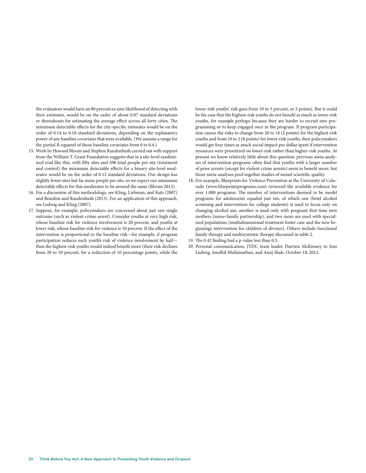the evaluators would have an 80 percent ex ante likelihood of detecting with their estimates, would be on the order of about 0.07 standard deviations or thereabouts for estimating the average effect across all forty cities. The minimum detectable effects for the city-specific estimates would be on the order of 0.14 to 0.18 standard deviations, depending on the explanatory power of any baseline covariates that were available. (We assume a range for the partial R-squared of those baseline covariates from 0 to 0.4.)

- 15. Work by Howard Bloom and Stephen Raudenbush carried out with support from the William T. Grant Foundation suggests that in a site-level randomized trial like this, with fifty sites and 500 total people per site (treatment and control) the minimum detectable effects for a binary site-level moderator would be on the order of 0.12 standard deviations. Our design has slightly fewer sites but far more people per site, so we expect our minimum detectable effects for this moderator to be around the same (Bloom 2013).
- 16. For a discussion of this methodology, see Kling, Liebman, and Katz (2007) and Reardon and Raudenbush (2013). For an application of this approach, see Ludwig and Kling (2007).
- 17. Suppose, for example, policymakers are concerned about just one single outcome (such as violent-crime arrest). Consider youths at very high risk, whose baseline risk for violence involvement is 20 percent, and youths at lower risk, whose baseline risk for violence is 10 percent. If the effect of the intervention is proportional to the baseline risk—for example, if program participation reduces each youth's risk of violence involvement by half then the highest-risk youths would indeed benefit more (their risk declines from 20 to 10 percent, for a reduction of 10 percentage points, while the

lower-risk youths' risk goes from 10 to 5 percent, or 5 points). But it could be the case that the highest-risk youths do not benefit as much as lower-risk youths, for example perhaps because they are harder to recruit into programming or to keep engaged once in the program. If program participation causes the risks to change from 20 to 18 (2 points) for the highest-risk youths and from 10 to 2 (8 points) for lower-risk youths, then policymakers would get four times as much social impact per dollar spent if intervention resources were prioritized on lower-risk rather than higher-risk youths. At present we know relatively little about this question; previous meta-analyses of intervention programs often find that youths with a larger number of prior arrests (except for violent-crime arrests) seem to benefit more, but those meta-analyses pool together studies of mixed scientific quality.

- 18. For example, Blueprints for Violence Prevention at the University of Colorado (www.blueprintsprograms.com) reviewed the available evidence for over 1,000 programs. The number of interventions deemed to be model programs for adolescents equaled just ten, of which one (brief alcohol screening and intervention for college students) is used to focus only on changing alcohol use, another is used only with pregnant first-time teen mothers (nurse-family partnership), and two more are used with specialized populations (multidimensional treatment foster care and the new beginnings intervention for children of divorce). Others include functional family therapy and multisystemic therapy discussed in table 2.
- 19. The 0.42 finding had a p-value less than 0.5.
- 20. Personal communication, JTDC team leader Darrien McKinney to Jens Ludwig, Sendhil Mullainathan, and Anuj Shah, October 18, 2012.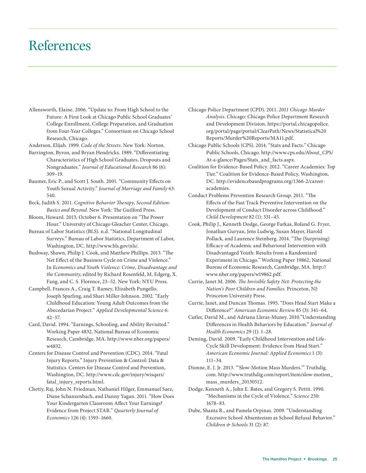## References

Allensworth, Elaine. 2006. "Update to: From High School to the Future: A First Look at Chicago Public School Graduates' College Enrollment, College Preparation, and Graduation from Four-Year Colleges." Consortium on Chicago School Research, Chicago.

Anderson, Elijah. 1999. *Code of the Streets*. New York: Norton.

- Barrington, Byron, and Bryan Hendricks. 1989. "Differentiating Characteristics of High School Graduates, Dropouts and Nongraduates." *Journal of Educational Research* 86 (6): 309–19.
- Baumer, Eric P., and Scott J. South. 2001. "Community Effects on Youth Sexual Activity." *Journal of Marriage and Family* 63: 540.
- Beck, Judith S. 2011. *Cognitive Behavior Therapy, Second Edition: Basics and Beyond*. New York: The Guilford Press.
- Bloom, Howard. 2013, October 6. Presentation on "The Power Hour." University of Chicago Gleacher Center, Chicago.
- Bureau of Labor Statistics (BLS). n.d. "National Longitudinal Surveys." Bureau of Labor Statistics, Department of Labor, Washington, DC. http://www.bls.gov/nls/.
- Bushway, Shawn, Philip J. Cook, and Matthew Phillips. 2013. "The Net Effect of the Business Cycle on Crime and Violence." In *Economics and Youth Violence: Crime, Disadvantage and the Community*, edited by Richard Rosenfeld, M. Edgerg, X. Fang, and C. S. Florence, 23–52. New York: NYU Press.
- Campbell, Frances A., Craig T. Ramey, Elizabeth Pungello, Joseph Sparling, and Shari Miller-Johnson. 2002. "Early Childhood Education: Young Adult Outcomes from the Abecedarian Project." *Applied Developmental Science* 6: 42–57.
- Card, David. 1994. "Earnings, Schooling, and Ability Revisited." Working Paper 4832, National Bureau of Economic Research, Cambridge, MA. http://www.nber.org/papers/ w4832.
- Centers for Disease Control and Prevention (CDC). 2014. "Fatal Injury Reports." Injury Prevention & Control: Data & Statistics. Centers for Disease Control and Prevention, Washington, DC. http://www.cdc.gov/injury/wisqars/ fatal\_injury\_reports.html.
- Chetty, Raj, John N. Friedman, Nathaniel Hilger, Emmanuel Saez, Diane Schanzenbach, and Danny Yagan. 2011. "How Does Your Kindergarten Classroom Affect Your Earnings? Evidence from Project STAR." *Quarterly Journal of Economics* 126 (4): 1593–1660.
- Chicago Police Department (CPD). 2011. *2011 Chicago Murder Analysis*. Chicago: Chicago Police Department Research and Development Division. https://portal.chicagopolice. org/portal/page/portal/ClearPath/News/Statistical%20 Reports/Murder%20Reports/MA11.pdf.
- Chicago Public Schools (CPS). 2014. "Stats and Facts." Chicago Public Schools, Chicago. http://www.cps.edu/About\_CPS/ At-a-glance/Pages/Stats\_and\_facts.aspx.
- Coalition for Evidence-Based Policy. 2012. "Career Academies: Top Tier." Coalition for Evidence-Based Policy, Washington, DC. http://evidencebasedprograms.org/1366-2/careeracademies.
- Conduct Problems Prevention Research Group. 2011. "The Effects of the Fast Track Preventive Intervention on the Development of Conduct Disorder across Childhood." *Child Development* 82 (1): 331–45.
- Cook, Philip J., Kenneth Dodge, George Farkas, Roland G. Fryer, Jonathan Guryan, Jens Ludwig, Susan Mayer, Harold Pollack, and Laurence Steinberg. 2014. "The (Surprising) Efficacy of Academic and Behavioral Intervention with Disadvantaged Youth: Results from a Randomized Experiment in Chicago." Working Paper 19862, National Bureau of Economic Research, Cambridge, MA. http:// www.nber.org/papers/w19862.pdf.
- Currie, Janet M. 2006. *The Invisible Safety Net: Protecting the Nation's Poor Children and Families*. Princeton, NJ: Princeton University Press.
- Currie, Janet, and Duncan Thomas. 1995. "Does Head Start Make a Difference?" *American Economic Review* 85 (3): 341–64.
- Cutler, David M., and Adriana Lleras-Muney. 2010."Understanding Differences in Health Behaviors by Education." *Journal of Health Economics* 29 (1): 1–28.
- Deming, David. 2009. "Early Childhood Intervention and Life-Cycle Skill Development: Evidence from Head Start." *American Economic Journal: Applied Economics* 1 (3): 111–34.
- Dionne, E. J. Jr. 2013. "'Slow-Motion Mass Murders.'" Truthdig. com. http://www.truthdig.com/report/item/slow-motion\_ mass\_murders\_20130512.
- Dodge, Kenneth A., John E. Bates, and Gregory S. Pettit. 1990. "Mechanisms in the Cycle of Violence." *Science* 250: 1678–83.
- Dube, Shanta R., and Pamela Orpinas. 2009. "Understanding Excessive School Absenteeism as School Refusal Behavior." *Children & Schools* 31 (2): 87.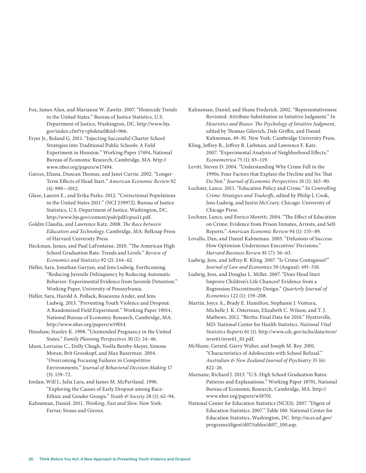Fox, James Alan, and Marianne W. Zawitz. 2007. "Homicide Trends in the United States." Bureau of Justice Statistics, U.S. Department of Justice, Washington, DC. http://www.bjs. gov/index.cfm?ty=pbdetail&iid=966.

Fryer Jr., Roland G. 2011. "Injecting Successful Charter School Strategies into Traditional Public Schools: A Field Experiment in Houston." Working Paper 17494, National Bureau of Economic Research, Cambridge, MA. http:// www.nber.org/papers/w17494.

Garces, Eliana, Duncan Thomas, and Janet Currie. 2002. "Longer-Term Effects of Head Start." *American Economic Review* 92 (4): 999—1012.

Glaze, Lauren E., and Erika Parks. 2012. "Correctional Populations in the United States 2011." (NCJ 239972). Bureau of Justice Statistics, U.S. Department of Justice, Washington, DC. http://www.bjs.gov/content/pub/pdf/cpus11.pdf.

Goldin Claudia, and Lawrence Katz. 2008. *The Race between Education and Technology*. Cambridge, MA: Belknap Press of Harvard University Press.

Heckman, James, and Paul LaFontaine. 2010. "The American High School Graduation Rate: Trends and Levels." *Review of Economics and Statistics* 92 (2): 244–62.

Heller, Sara, Jonathan Guryan, and Jens Ludwig. Forthcoming. "Reducing Juvenile Delinquency by Reducing Automatic Behavior: Experimental Evidence from Juvenile Detention." Working Paper, University of Pennsylvania.

Heller, Sara, Harold A. Pollack, Roseanna Ander, and Jens Ludwig. 2013. "Preventing Youth Violence and Dropout: A Randomized Field Experiment." Working Paper 19014, National Bureau of Economic Research, Cambridge, MA. http://www.nber.org/papers/w19014.

Henshaw, Stanley K. 1998. "Unintended Pregnancy in the United States." *Family Planning Perspectives* 30 (1): 24–46.

Idson, Lorraine C., Dolly Chugh, Yoella Bereby-Meyer, Simone Moran, Brit Grosskopf, and Max Bazerman. 2004. "Overcoming Focusing Failures in Competitive Environments." *Journal of Behavioral Decision Making* 17 (3): 159–72.

Jordan, Will J., Julia Lara, and James M. McPartland. 1996. "Exploring the Causes of Early Dropout among Race-Ethnic and Gender Groups." *Youth & Society* 28 (1): 62–94.

Kahneman, Daniel. 2011. *Thinking, Fast and Slow*. New York: Farrar, Straus and Giroux.

Kahneman, Daniel, and Shane Frederick. 2002. "Representativeness Revisited: Attribute Substitution in Intuitive Judgment." In *Heuristics and Biases: The Psychology of Intuitive Judgment*, edited by Thomas Gilovich, Dale Griffin, and Daniel Kahneman, 49–81. New York: Cambridge University Press.

Kling, Jeffrey R., Jeffrey B. Liebman, and Lawrence F. Katz. 2007. "Experimental Analysis of Neighborhood Effects." *Econometrica* 75 (1): 83–119.

Levitt, Steven D. 2004. "Understanding Why Crime Fell in the 1990s: Four Factors that Explain the Decline and Six That Do Not." *Journal of Economic Perspectives* 18 (1): 163–90.

Lochner, Lance. 2011. "Education Policy and Crime." In *Controlling Crime: Strategies and Tradeoffs*, edited by Philip J. Cook, Jens Ludwig, and Justin McCrary. Chicago: University of Chicago Press.

Lochner, Lance, and Enrico Moretti. 2004. "The Effect of Education on Crime: Evidence from Prison Inmates, Arrests, and Self-Reports." *American Economic Review* 94 (1): 155–89.

Lovallo, Dan, and Daniel Kahneman. 2003. "Delusions of Success: How Optimism Undermines Executives' Decisions." *Harvard Business Review* 81 (7): 56–63.

Ludwig, Jens, and Jeffrey R. Kling. 2007. "Is Crime Contagious?" *Journal of Law and Economics* 50 (August): 491–518.

Ludwig, Jens, and Douglas L. Miller. 2007. "Does Head Start Improve Children's Life Chances? Evidence from a Regression Discontinuity Design." *Quarterly Journal of Economics* 122 (1): 159–208.

Martin, Joyce A., Brady E. Hamilton, Stephanie J. Ventura, Michelle J. K. Osterman, Elizabeth C. Wilson, and T. J. Mathews. 2012. "Births: Final Data for 2010." Hyattsville, MD: National Center for Health Statistics. *National Vital Statistics Reports* 61 (1). http://www.cdc.gov/nchs/data/nvsr/ nvsr61/nvsr61\_01.pdf.

McShane, Gerard, Garry Walter, and Joseph M. Rey. 2001. "Characteristics of Adolescents with School Refusal." *Australian & New Zealand Journal of Psychiatry* 35 (6): 822–26.

Murnane, Richard J. 2013. "U.S. High School Graduation Rates: Patterns and Explanations." Working Paper 18701, National Bureau of Economic Research, Cambridge, MA. http:// www.nber.org/papers/w18701.

National Center for Education Statistics (NCES). 2007. "Digest of Education Statistics: 2007." Table 100. National Center for Education Statistics, Washington, DC. http://nces.ed.gov/ programs/digest/d07/tables/dt07\_100.asp.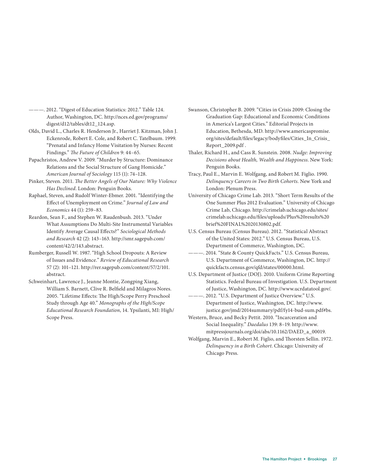———. 2012. "Digest of Education Statistics: 2012." Table 124. Author, Washington, DC. http://nces.ed.gov/programs/ digest/d12/tables/dt12\_124.asp.

Olds, David L., Charles R. Henderson Jr., Harriet J. Kitzman, John J. Eckenrode, Robert E. Cole, and Robert C. Tatelbaum. 1999. "Prenatal and Infancy Home Visitation by Nurses: Recent Findings." *The Future of Children* 9: 44–65.

Papachristos, Andrew V. 2009. "Murder by Structure: Dominance Relations and the Social Structure of Gang Homicide." *American Journal of Sociology* 115 (1): 74–128.

Pinker, Steven. 2011. *The Better Angels of Our Nature: Why Violence Has Declined*. London: Penguin Books.

Raphael, Steven, and Rudolf Winter-Ebmer. 2001. "Identifying the Effect of Unemployment on Crime." *Journal of Law and Economics* 44 (1): 259–83.

Reardon, Sean F., and Stephen W. Raudenbush. 2013. "Under What Assumptions Do Multi-Site Instrumental Variables Identify Average Causal Effects?" *Sociological Methods and Research* 42 (2): 143–163. http://smr.sagepub.com/ content/42/2/143.abstract.

Rumberger, Russell W. 1987. "High School Dropouts: A Review of Issues and Evidence." *Review of Educational Research* 57 (2): 101–121. http://rer.sagepub.com/content/57/2/101. abstract.

Schweinhart, Lawrence J., Jeanne Montie, Zongping Xiang, William S. Barnett, Clive R. Belfield and Milagros Nores. 2005. "Lifetime Effects: The High/Scope Perry Preschool Study through Age 40." *Monographs of the High/Scope Educational Research Foundation*, 14. Ypsilanti, MI: High/ Scope Press.

Swanson, Christopher B. 2009. "Cities in Crisis 2009: Closing the Graduation Gap: Educational and Economic Conditions in America's Largest Cities." Editorial Projects in Education, Bethesda, MD. http://www.americaspromise. org/sites/default/files/legacy/bodyfiles/Cities\_In\_Crisis\_ Report\_2009.pdf .

Thaler, Richard H., and Cass R. Sunstein. 2008. *Nudge: Improving Decisions about Health, Wealth and Happiness*. New York: Penguin Books.

Tracy, Paul E., Marvin E. Wolfgang, and Robert M. Figlio. 1990. *Delinquency Careers in Two Birth Cohorts*. New York and London: Plenum Press.

University of Chicago Crime Lab. 2013. "Short Term Results of the One Summer Plus 2012 Evaluation." University of Chicago Crime Lab, Chicago. http://crimelab.uchicago.edu/sites/ crimelab.uchicago.edu/files/uploads/Plus%20results%20 brief%20FINAL%2020130802.pdf.

U.S. Census Bureau (Census Bureau). 2012. "Statistical Abstract of the United States: 2012." U.S. Census Bureau, U.S. Department of Commerce, Washington, DC.

———. 2014. "State & County QuickFacts." U.S. Census Bureau, U.S. Department of Commerce, Washington, DC. http:// quickfacts.census.gov/qfd/states/00000.html.

U.S. Department of Justice (DOJ). 2010. Uniform Crime Reporting Statistics. Federal Bureau of Investigation. U.S. Department of Justice, Washington, DC. http://www.ucrdatatool.gov/.

2012. "U.S. Department of Justice Overview." U.S. Department of Justice, Washington, DC. http://www. justice.gov/jmd/2014summary/pdf/fy14-bud-sum.pdf#bs.

Western, Bruce, and Becky Pettit. 2010. "Incarceration and Social Inequality." *Daedalus* 139: 8–19. http://www. mitpressjournals.org/doi/abs/10.1162/DAED\_a\_00019.

Wolfgang, Marvin E., Robert M. Figlio, and Thorsten Sellin. 1972. *Delinquency in a Birth Cohort*. Chicago: University of Chicago Press.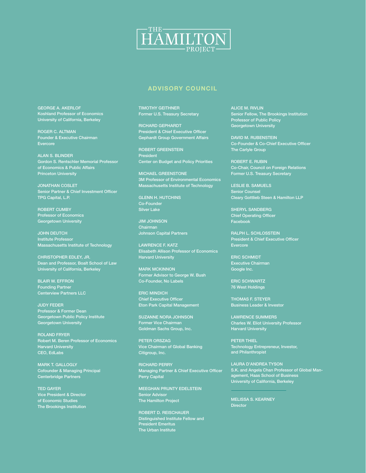

### **ADVISORY COUNCIL**

GEORGE A. AKERLOF Koshland Professor of Economics University of California, Berkeley

ROGER C. ALTMAN Founder & Executive Chairman Evercore

ALAN S. BLINDER Gordon S. Rentschler Memorial Professor of Economics & Public Affairs Princeton University

JONATHAN COSLET Senior Partner & Chief Investment Officer TPG Capital, L.P.

ROBERT CUMBY Professor of Economics Georgetown University

JOHN DEUTCH **Institute Professor** Massachusetts Institute of Technology

CHRISTOPHER EDLEY, JR. Dean and Professor, Boalt School of Law University of California, Berkeley

BLAIR W. EFFRON Founding Partner Centerview Partners LLC

JUDY FEDER Professor & Former Dean Georgetown Public Policy Institute Georgetown University

ROLAND FRYER Robert M. Beren Professor of Economics Harvard University CEO, EdLabs

MARK T. GALLOGLY Cofounder & Managing Principal Centerbridge Partners

TED GAYER Vice President & Director of Economic Studies The Brookings Institution TIMOTHY GEITHNER Former U.S. Treasury Secretary

RICHARD GEPHARDT President & Chief Executive Officer Gephardt Group Government Affairs

ROBERT GREENSTEIN President Center on Budget and Policy Priorities

MICHAEL GREENSTONE 3M Professor of Environmental Economics Massachusetts Institute of Technology

GLENN H. HUTCHINS Co-Founder Silver Lake

JIM JOHNSON Chairman Johnson Capital Partners

LAWRENCE F. KATZ Elisabeth Allison Professor of Economics Harvard University

MARK MCKINNON Former Advisor to George W. Bush Co-Founder, No Labels

ERIC MINDICH Chief Executive Officer Eton Park Capital Management

SUZANNE NORA JOHNSON Former Vice Chairman Goldman Sachs Group, Inc.

PETER ORSZAG Vice Chairman of Global Banking Citigroup, Inc.

RICHARD PERRY Managing Partner & Chief Executive Officer Perry Capital

MEEGHAN PRUNTY EDELSTEIN Senior Advisor The Hamilton Project

ROBERT D. REISCHAUER Distinguished Institute Fellow and President Emeritus The Urban Institute

ALICE M. RIVLIN Senior Fellow, The Brookings Institution Professor of Public Policy Georgetown University

DAVID M. RUBENSTEIN Co-Founder & Co-Chief Executive Officer The Carlyle Group

ROBERT E. RUBIN Co-Chair, Council on Foreign Relations Former U.S. Treasury Secretary

LESLIE B. SAMUELS Senior Counsel Cleary Gottlieb Steen & Hamilton LLP

SHERYL SANDBERG Chief Operating Officer Facebook

RALPH L. SCHLOSSTEIN President & Chief Executive Officer Evercore

ERIC SCHMIDT Executive Chairman Google Inc.

ERIC SCHWARTZ 76 West Holdings

THOMAS F. STEYER Business Leader & Investor

LAWRENCE SUMMERS Charles W. Eliot University Professor Harvard University

PETER THIEL Technology Entrepreneur, Investor, and Philanthropist

LAURA D'ANDREA TYSON S.K. and Angela Chan Professor of Global Management, Haas School of Business University of California, Berkeley

MELISSA S. KEARNEY **Director**